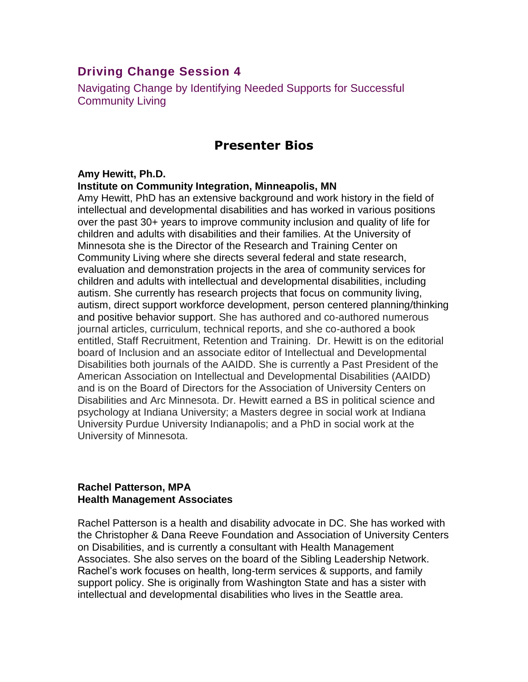# **Driving Change Session 4**

Navigating Change by Identifying Needed Supports for Successful Community Living

# **Presenter Bios**

## **Amy Hewitt, Ph.D.**

## **Institute on Community Integration, Minneapolis, MN**

Amy Hewitt, PhD has an extensive background and work history in the field of intellectual and developmental disabilities and has worked in various positions over the past 30+ years to improve community inclusion and quality of life for children and adults with disabilities and their families. At the University of Minnesota she is the Director of the Research and Training Center on Community Living where she directs several federal and state research, evaluation and demonstration projects in the area of community services for children and adults with intellectual and developmental disabilities, including autism. She currently has research projects that focus on community living, autism, direct support workforce development, person centered planning/thinking and positive behavior support. She has authored and co-authored numerous journal articles, curriculum, technical reports, and she co-authored a book entitled, Staff Recruitment, Retention and Training. Dr. Hewitt is on the editorial board of Inclusion and an associate editor of Intellectual and Developmental Disabilities both journals of the AAIDD. She is currently a Past President of the American Association on Intellectual and Developmental Disabilities (AAIDD) and is on the Board of Directors for the Association of University Centers on Disabilities and Arc Minnesota. Dr. Hewitt earned a BS in political science and psychology at Indiana University; a Masters degree in social work at Indiana University Purdue University Indianapolis; and a PhD in social work at the University of Minnesota.

### **Rachel Patterson, MPA Health Management Associates**

Rachel Patterson is a health and disability advocate in DC. She has worked with the Christopher & Dana Reeve Foundation and Association of University Centers on Disabilities, and is currently a consultant with Health Management Associates. She also serves on the board of the Sibling Leadership Network. Rachel's work focuses on health, long-term services & supports, and family support policy. She is originally from Washington State and has a sister with intellectual and developmental disabilities who lives in the Seattle area.